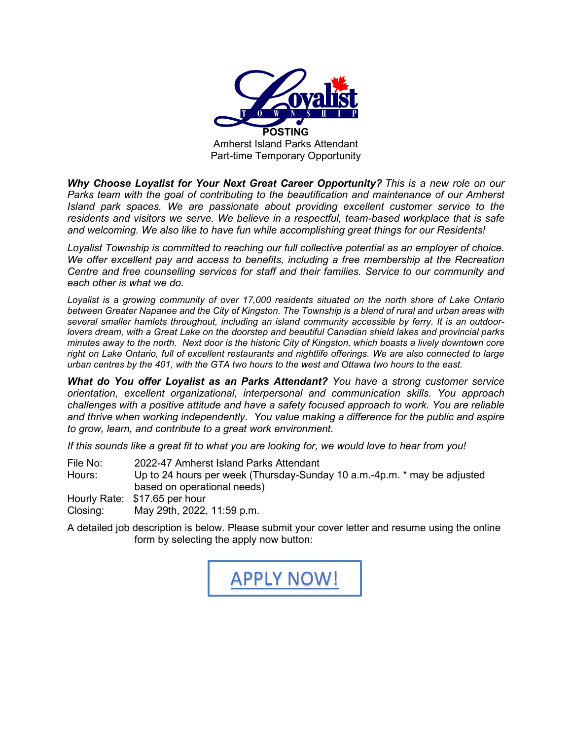

*Why Choose Loyalist for Your Next Great Career Opportunity? This is a new role on our Parks team with the goal of contributing to the beautification and maintenance of our Amherst Island park spaces. We are passionate about providing excellent customer service to the residents and visitors we serve. We believe in a respectful, team-based workplace that is safe and welcoming. We also like to have fun while accomplishing great things for our Residents!*

*Loyalist Township is committed to reaching our full collective potential as an employer of choice. We offer excellent pay and access to benefits, including a free membership at the Recreation Centre and free counselling services for staff and their families. Service to our community and each other is what we do.*

*Loyalist is a growing community of over 17,000 residents situated on the north shore of Lake Ontario between Greater Napanee and the City of Kingston. The Township is a blend of rural and urban areas with several smaller hamlets throughout, including an island community accessible by ferry. It is an outdoorlovers dream, with a Great Lake on the doorstep and beautiful Canadian shield lakes and provincial parks minutes away to the north. Next door is the historic City of Kingston, which boasts a lively downtown core right on Lake Ontario, full of excellent restaurants and nightlife offerings. We are also connected to large urban centres by the 401, with the GTA two hours to the west and Ottawa two hours to the east.* 

*What do You offer Loyalist as an Parks Attendant? You have a strong customer service orientation, excellent organizational, interpersonal and communication skills. You approach challenges with a positive attitude and have a safety focused approach to work. You are reliable and thrive when working independently. You value making a difference for the public and aspire to grow, learn, and contribute to a great work environment.* 

*If this sounds like a great fit to what you are looking for, we would love to hear from you!*

File No: 2022-47 Amherst Island Parks Attendant

Hours: Up to 24 hours per week (Thursday-Sunday 10 a.m.-4p.m. \* may be adjusted based on operational needs)

Hourly Rate: \$17.65 per hour

Closing: May 29th, 2022, 11:59 p.m.

A detailed job description is below. Please submit your cover letter and resume using the online form by selecting the apply now button:

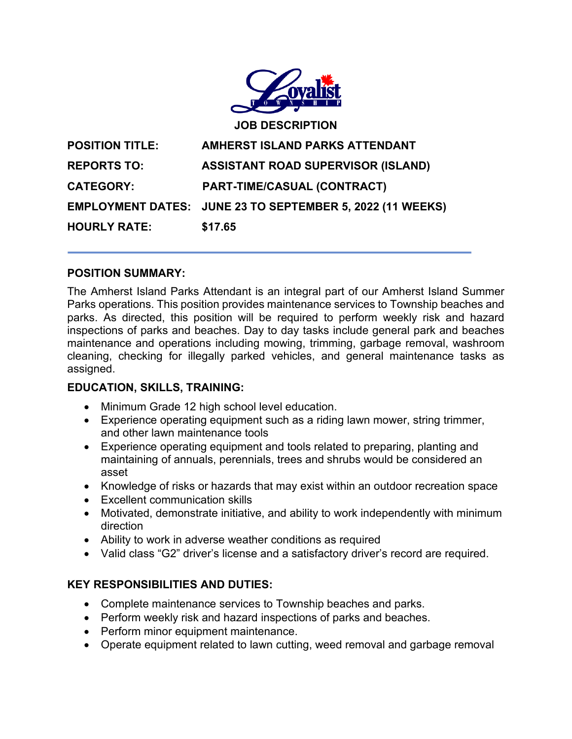

#### **POSITION SUMMARY:**

The Amherst Island Parks Attendant is an integral part of our Amherst Island Summer Parks operations. This position provides maintenance services to Township beaches and parks. As directed, this position will be required to perform weekly risk and hazard inspections of parks and beaches. Day to day tasks include general park and beaches maintenance and operations including mowing, trimming, garbage removal, washroom cleaning, checking for illegally parked vehicles, and general maintenance tasks as assigned.

# **EDUCATION, SKILLS, TRAINING:**

- Minimum Grade 12 high school level education.
- Experience operating equipment such as a riding lawn mower, string trimmer, and other lawn maintenance tools
- Experience operating equipment and tools related to preparing, planting and maintaining of annuals, perennials, trees and shrubs would be considered an asset
- Knowledge of risks or hazards that may exist within an outdoor recreation space
- Excellent communication skills
- Motivated, demonstrate initiative, and ability to work independently with minimum direction
- Ability to work in adverse weather conditions as required
- Valid class "G2" driver's license and a satisfactory driver's record are required.

# **KEY RESPONSIBILITIES AND DUTIES:**

- Complete maintenance services to Township beaches and parks.
- Perform weekly risk and hazard inspections of parks and beaches.
- Perform minor equipment maintenance.
- Operate equipment related to lawn cutting, weed removal and garbage removal